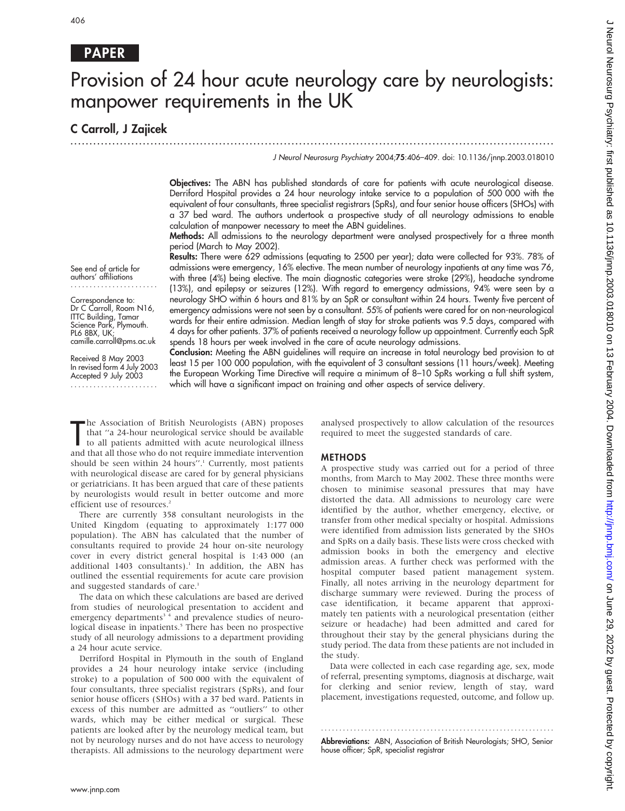# PAPER

# Provision of 24 hour acute neurology care by neurologists: manpower requirements in the UK

.............................................................................................................................. .

# C Carroll, J Zajicek

J Neurol Neurosurg Psychiatry 2004;75:406–409. doi: 10.1136/jnnp.2003.018010

Objectives: The ABN has published standards of care for patients with acute neurological disease. Derriford Hospital provides a 24 hour neurology intake service to a population of 500 000 with the equivalent of four consultants, three specialist registrars (SpRs), and four senior house officers (SHOs) with a 37 bed ward. The authors undertook a prospective study of all neurology admissions to enable calculation of manpower necessary to meet the ABN guidelines.

Methods: All admissions to the neurology department were analysed prospectively for a three month period (March to May 2002). Results: There were 629 admissions (equating to 2500 per year); data were collected for 93%. 78% of

See end of article for authors' affiliations .......................

Correspondence to: Dr C Carroll, Room N16, ITTC Building, Tamar Science Park, Plymouth. PL6 8BX, UK: camille.carroll@pms.ac.uk

Received 8 May 2003 In revised form 4 July 2003 Accepted 9 July 2003 .......................

admissions were emergency, 16% elective. The mean number of neurology inpatients at any time was 76, with three (4%) being elective. The main diagnostic categories were stroke (29%), headache syndrome (13%), and epilepsy or seizures (12%). With regard to emergency admissions, 94% were seen by a neurology SHO within 6 hours and 81% by an SpR or consultant within 24 hours. Twenty five percent of emergency admissions were not seen by a consultant. 55% of patients were cared for on non-neurological wards for their entire admission. Median length of stay for stroke patients was 9.5 days, compared with 4 days for other patients. 37% of patients received a neurology follow up appointment. Currently each SpR spends 18 hours per week involved in the care of acute neurology admissions.

Conclusion: Meeting the ABN guidelines will require an increase in total neurology bed provision to at least 15 per 100 000 population, with the equivalent of 3 consultant sessions (11 hours/week). Meeting the European Working Time Directive will require a minimum of 8–10 SpRs working a full shift system, which will have a significant impact on training and other aspects of service delivery.

The Association of British Neurologists (ABN) proposes<br>that "a 24-hour neurological service should be available<br>to all patients admitted with acute neurological illness<br>and that all those who do not require immediate inter he Association of British Neurologists (ABN) proposes that ''a 24-hour neurological service should be available to all patients admitted with acute neurological illness should be seen within 24 hours".<sup>1</sup> Currently, most patients with neurological disease are cared for by general physicians or geriatricians. It has been argued that care of these patients by neurologists would result in better outcome and more efficient use of resources.<sup>2</sup>

There are currently 358 consultant neurologists in the United Kingdom (equating to approximately 1:177 000 population). The ABN has calculated that the number of consultants required to provide 24 hour on-site neurology cover in every district general hospital is 1:43 000 (an additional 1403 consultants).<sup>1</sup> In addition, the ABN has outlined the essential requirements for acute care provision and suggested standards of care.<sup>1</sup>

The data on which these calculations are based are derived from studies of neurological presentation to accident and emergency departments<sup>34</sup> and prevalence studies of neurological disease in inpatients.<sup>5</sup> There has been no prospective study of all neurology admissions to a department providing a 24 hour acute service.

Derriford Hospital in Plymouth in the south of England provides a 24 hour neurology intake service (including stroke) to a population of 500 000 with the equivalent of four consultants, three specialist registrars (SpRs), and four senior house officers (SHOs) with a 37 bed ward. Patients in excess of this number are admitted as ''outliers'' to other wards, which may be either medical or surgical. These patients are looked after by the neurology medical team, but not by neurology nurses and do not have access to neurology therapists. All admissions to the neurology department were analysed prospectively to allow calculation of the resources required to meet the suggested standards of care.

#### METHODS

A prospective study was carried out for a period of three months, from March to May 2002. These three months were chosen to minimise seasonal pressures that may have distorted the data. All admissions to neurology care were identified by the author, whether emergency, elective, or transfer from other medical specialty or hospital. Admissions were identified from admission lists generated by the SHOs and SpRs on a daily basis. These lists were cross checked with admission books in both the emergency and elective admission areas. A further check was performed with the hospital computer based patient management system. Finally, all notes arriving in the neurology department for discharge summary were reviewed. During the process of case identification, it became apparent that approximately ten patients with a neurological presentation (either seizure or headache) had been admitted and cared for throughout their stay by the general physicians during the study period. The data from these patients are not included in the study.

Data were collected in each case regarding age, sex, mode of referral, presenting symptoms, diagnosis at discharge, wait for clerking and senior review, length of stay, ward placement, investigations requested, outcome, and follow up.

Abbreviations: ABN, Association of British Neurologists; SHO, Senior house officer; SpR, specialist registrar

............................................................... .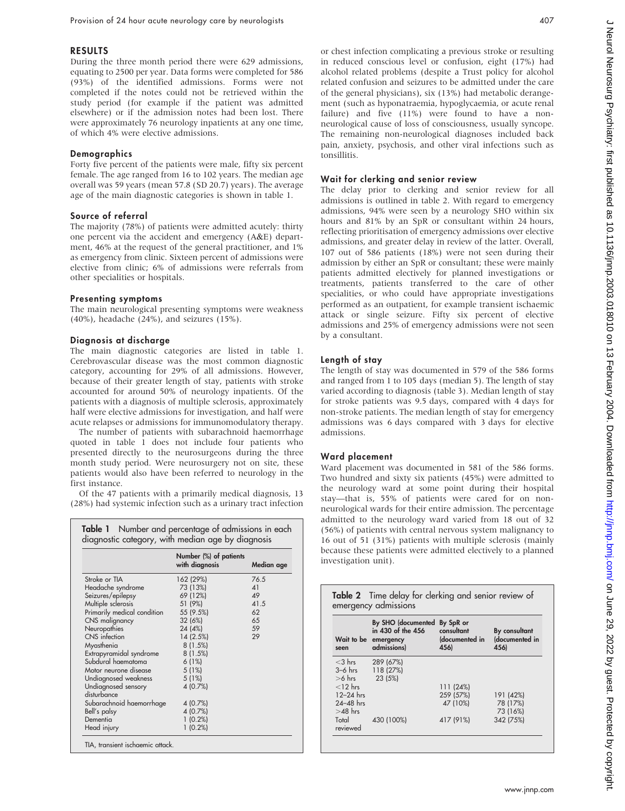### RESULTS

During the three month period there were 629 admissions, equating to 2500 per year. Data forms were completed for 586 (93%) of the identified admissions. Forms were not completed if the notes could not be retrieved within the study period (for example if the patient was admitted elsewhere) or if the admission notes had been lost. There were approximately 76 neurology inpatients at any one time, of which 4% were elective admissions.

#### **Demographics**

Forty five percent of the patients were male, fifty six percent female. The age ranged from 16 to 102 years. The median age overall was 59 years (mean 57.8 (SD 20.7) years). The average age of the main diagnostic categories is shown in table 1.

#### Source of referral

The majority (78%) of patients were admitted acutely: thirty one percent via the accident and emergency (A&E) department, 46% at the request of the general practitioner, and 1% as emergency from clinic. Sixteen percent of admissions were elective from clinic; 6% of admissions were referrals from other specialities or hospitals.

#### Presenting symptoms

The main neurological presenting symptoms were weakness (40%), headache (24%), and seizures (15%).

# Diagnosis at discharge

The main diagnostic categories are listed in table 1. Cerebrovascular disease was the most common diagnostic category, accounting for 29% of all admissions. However, because of their greater length of stay, patients with stroke accounted for around 50% of neurology inpatients. Of the patients with a diagnosis of multiple sclerosis, approximately half were elective admissions for investigation, and half were acute relapses or admissions for immunomodulatory therapy.

The number of patients with subarachnoid haemorrhage quoted in table 1 does not include four patients who presented directly to the neurosurgeons during the three month study period. Were neurosurgery not on site, these patients would also have been referred to neurology in the first instance.

Of the 47 patients with a primarily medical diagnosis, 13 (28%) had systemic infection such as a urinary tract infection

|                                    | Number (%) of patients<br>with diagnosis | Median age |
|------------------------------------|------------------------------------------|------------|
| Stroke or TIA                      | 162 (29%)                                | 76.5       |
| Headache syndrome                  | 73 (13%)                                 | 41         |
| Seizures/epilepsy                  | 69 (12%)                                 | 49         |
| Multiple sclerosis                 | 51 (9%)                                  | 41.5       |
| Primarily medical condition        | 55 (9.5%)                                | 62         |
| CNS malignancy                     | 32 (6%)                                  | 65         |
| Neuropathies                       | 24 (4%)                                  | 59         |
| CNS infection                      | 14(2.5%)                                 | 29         |
| Myasthenia                         | 8(1.5%)                                  |            |
| Extrapyramidal syndrome            | 8(1.5%)                                  |            |
| Subdural haematoma                 | 6(1%)                                    |            |
| Motor neurone disease              | 5(1%)                                    |            |
| Undiagnosed weakness               | 5(1%)                                    |            |
| Undiagnosed sensory<br>disturbance | 4(0.7%)                                  |            |
| Subarachnoid haemorrhage           | 4(0.7%)                                  |            |
| Bell's palsy                       | 4(0.7%)                                  |            |
| Dementia                           | 1(0.2%)                                  |            |
| Head injury                        | $1(0.2\%)$                               |            |

or chest infection complicating a previous stroke or resulting in reduced conscious level or confusion, eight (17%) had alcohol related problems (despite a Trust policy for alcohol related confusion and seizures to be admitted under the care of the general physicians), six (13%) had metabolic derangement (such as hyponatraemia, hypoglycaemia, or acute renal failure) and five (11%) were found to have a nonneurological cause of loss of consciousness, usually syncope. The remaining non-neurological diagnoses included back pain, anxiety, psychosis, and other viral infections such as tonsillitis.

# Wait for clerking and senior review

The delay prior to clerking and senior review for all admissions is outlined in table 2. With regard to emergency admissions, 94% were seen by a neurology SHO within six hours and 81% by an SpR or consultant within 24 hours, reflecting prioritisation of emergency admissions over elective admissions, and greater delay in review of the latter. Overall, 107 out of 586 patients (18%) were not seen during their admission by either an SpR or consultant; these were mainly patients admitted electively for planned investigations or treatments, patients transferred to the care of other specialities, or who could have appropriate investigations performed as an outpatient, for example transient ischaemic attack or single seizure. Fifty six percent of elective admissions and 25% of emergency admissions were not seen by a consultant.

# Length of stay

The length of stay was documented in 579 of the 586 forms and ranged from 1 to 105 days (median 5). The length of stay varied according to diagnosis (table 3). Median length of stay for stroke patients was 9.5 days, compared with 4 days for non-stroke patients. The median length of stay for emergency admissions was 6 days compared with 3 days for elective admissions.

#### Ward placement

Ward placement was documented in 581 of the 586 forms. Two hundred and sixty six patients (45%) were admitted to the neurology ward at some point during their hospital stay—that is, 55% of patients were cared for on nonneurological wards for their entire admission. The percentage admitted to the neurology ward varied from 18 out of 32 (56%) of patients with central nervous system malignancy to 16 out of 51 (31%) patients with multiple sclerosis (mainly because these patients were admitted electively to a planned investigation unit).

|                       | Table 2 Time delay for clerking and senior review of<br>emergency admissions             |                                      |                                         |
|-----------------------|------------------------------------------------------------------------------------------|--------------------------------------|-----------------------------------------|
| seen                  | By SHO (documented By SpR or<br>in 430 of the 456<br>Wait to be emergency<br>admissions) | consultant<br>(documented in<br>456) | By consultant<br>(documented in<br>456) |
| $<$ 3 hrs             | 289 (67%)                                                                                |                                      |                                         |
| $3-6$ hrs<br>$>6$ hrs | 118 (27%)<br>23 (5%)                                                                     |                                      |                                         |
| $<$ 12 hrs            |                                                                                          | 111 (24%)                            |                                         |
| $12-24$ hrs           |                                                                                          | 259 (57%)                            | 191 (42%)                               |
| $24 - 48$ hrs         |                                                                                          | 47 (10%)                             | 78 (17%)                                |
| $>48$ hrs             |                                                                                          |                                      | 73 (16%)                                |
| Total<br>reviewed     | 430 (100%)                                                                               | 417 (91%)                            | 342 (75%)                               |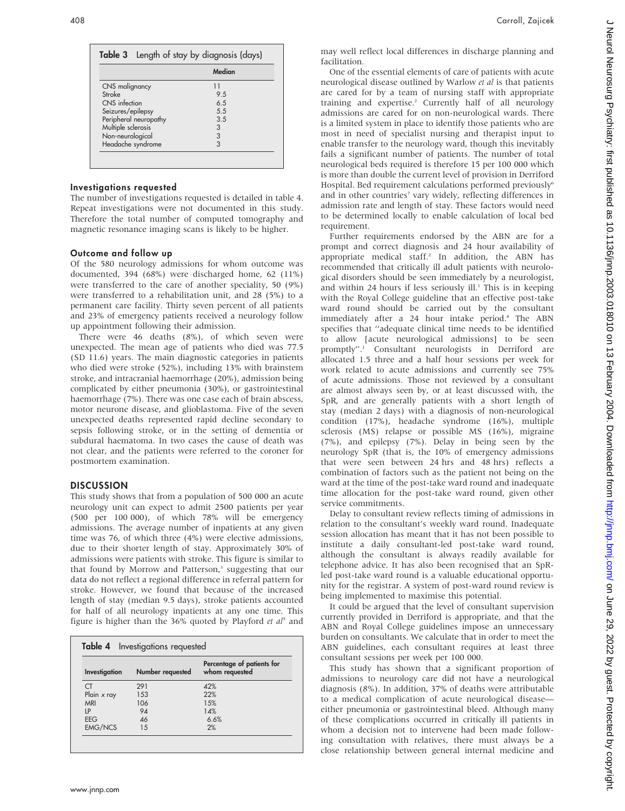|                       | Median |
|-----------------------|--------|
| CNS malignancy        | 11     |
| Stroke                | 9.5    |
| CNS infection         | 6.5    |
| Seizures/epilepsy     | .5.5   |
| Peripheral neuropathy | 3.5    |
| Multiple sclerosis    | 3      |
| Non-neurological      | 3      |
| Headache syndrome     | 3      |

# Investigations requested

The number of investigations requested is detailed in table 4. Repeat investigations were not documented in this study. Therefore the total number of computed tomography and magnetic resonance imaging scans is likely to be higher.

#### Outcome and follow up

Of the 580 neurology admissions for whom outcome was documented, 394 (68%) were discharged home, 62 (11%) were transferred to the care of another speciality, 50 (9%) were transferred to a rehabilitation unit, and 28 (5%) to a permanent care facility. Thirty seven percent of all patients and 23% of emergency patients received a neurology follow up appointment following their admission.

There were 46 deaths (8%), of which seven were unexpected. The mean age of patients who died was 77.5 (SD 11.6) years. The main diagnostic categories in patients who died were stroke (52%), including 13% with brainstem stroke, and intracranial haemorrhage (20%), admission being complicated by either pneumonia (30%), or gastrointestinal haemorrhage (7%). There was one case each of brain abscess, motor neurone disease, and glioblastoma. Five of the seven unexpected deaths represented rapid decline secondary to sepsis following stroke, or in the setting of dementia or subdural haematoma. In two cases the cause of death was not clear, and the patients were referred to the coroner for postmortem examination.

# DISCUSSION

This study shows that from a population of 500 000 an acute neurology unit can expect to admit 2500 patients per year (500 per 100 000), of which 78% will be emergency admissions. The average number of inpatients at any given time was 76, of which three (4%) were elective admissions, due to their shorter length of stay. Approximately 30% of admissions were patients with stroke. This figure is similar to that found by Morrow and Patterson,<sup>3</sup> suggesting that our data do not reflect a regional difference in referral pattern for stroke. However, we found that because of the increased length of stay (median 9.5 days), stroke patients accounted for half of all neurology inpatients at any one time. This figure is higher than the 36% quoted by Playford et  $a^5$  and

| Investigation  | Number requested | Percentage of patients for<br>whom requested |
|----------------|------------------|----------------------------------------------|
| CT             | 291              | 42%                                          |
| Plain x ray    | 153              | 22%                                          |
| MRI            | 106              | 15%                                          |
| ١P             | 94               | 14%                                          |
| <b>EEG</b>     | 46               | 6.6%                                         |
| <b>EMG/NCS</b> | 1.5              | 2%                                           |

J Neurol Neurosurg Psychiatry: first published as 10.11136/jnnp.2003.018010 0n 13 February 2004. Downloaded from http://jnnp.bmj.com/ on June 29, 2022 by guest. Protected by copyright J Neurol Neurosurg Psychiatry: first published as 10.1136/jnnp.2003.018010 on 13 February 2004. Downloaded from Downloaded from Dr. June 29, 2022 by guest. Protected by copyright.

may well reflect local differences in discharge planning and facilitation.

One of the essential elements of care of patients with acute neurological disease outlined by Warlow et al is that patients are cared for by a team of nursing staff with appropriate training and expertise.<sup>2</sup> Currently half of all neurology admissions are cared for on non-neurological wards. There is a limited system in place to identify those patients who are most in need of specialist nursing and therapist input to enable transfer to the neurology ward, though this inevitably fails a significant number of patients. The number of total neurological beds required is therefore 15 per 100 000 which is more than double the current level of provision in Derriford Hospital. Bed requirement calculations performed previously<sup>6</sup> and in other countries<sup>7</sup> vary widely, reflecting differences in admission rate and length of stay. These factors would need to be determined locally to enable calculation of local bed requirement.

Further requirements endorsed by the ABN are for a prompt and correct diagnosis and 24 hour availability of appropriate medical staff.<sup>2</sup> In addition, the ABN has recommended that critically ill adult patients with neurological disorders should be seen immediately by a neurologist, and within 24 hours if less seriously ill. $<sup>1</sup>$  This is in keeping</sup> with the Royal College guideline that an effective post-take ward round should be carried out by the consultant immediately after a 24 hour intake period.<sup>8</sup> The ABN specifies that ''adequate clinical time needs to be identified to allow [acute neurological admissions] to be seen promptly''.1 Consultant neurologists in Derriford are allocated 1.5 three and a half hour sessions per week for work related to acute admissions and currently see 75% of acute admissions. Those not reviewed by a consultant are almost always seen by, or at least discussed with, the SpR, and are generally patients with a short length of stay (median 2 days) with a diagnosis of non-neurological condition (17%), headache syndrome (16%), multiple sclerosis (MS) relapse or possible MS (16%), migraine (7%), and epilepsy (7%). Delay in being seen by the neurology SpR (that is, the 10% of emergency admissions that were seen between 24 hrs and 48 hrs) reflects a combination of factors such as the patient not being on the ward at the time of the post-take ward round and inadequate time allocation for the post-take ward round, given other service commitments.

Delay to consultant review reflects timing of admissions in relation to the consultant's weekly ward round. Inadequate session allocation has meant that it has not been possible to institute a daily consultant-led post-take ward round, although the consultant is always readily available for telephone advice. It has also been recognised that an SpRled post-take ward round is a valuable educational opportunity for the registrar. A system of post-ward round review is being implemented to maximise this potential.

It could be argued that the level of consultant supervision currently provided in Derriford is appropriate, and that the ABN and Royal College guidelines impose an unnecessary burden on consultants. We calculate that in order to meet the ABN guidelines, each consultant requires at least three consultant sessions per week per 100 000.

This study has shown that a significant proportion of admissions to neurology care did not have a neurological diagnosis (8%). In addition, 37% of deaths were attributable to a medical complication of acute neurological disease either pneumonia or gastrointestinal bleed. Although many of these complications occurred in critically ill patients in whom a decision not to intervene had been made following consultation with relatives, there must always be a close relationship between general internal medicine and